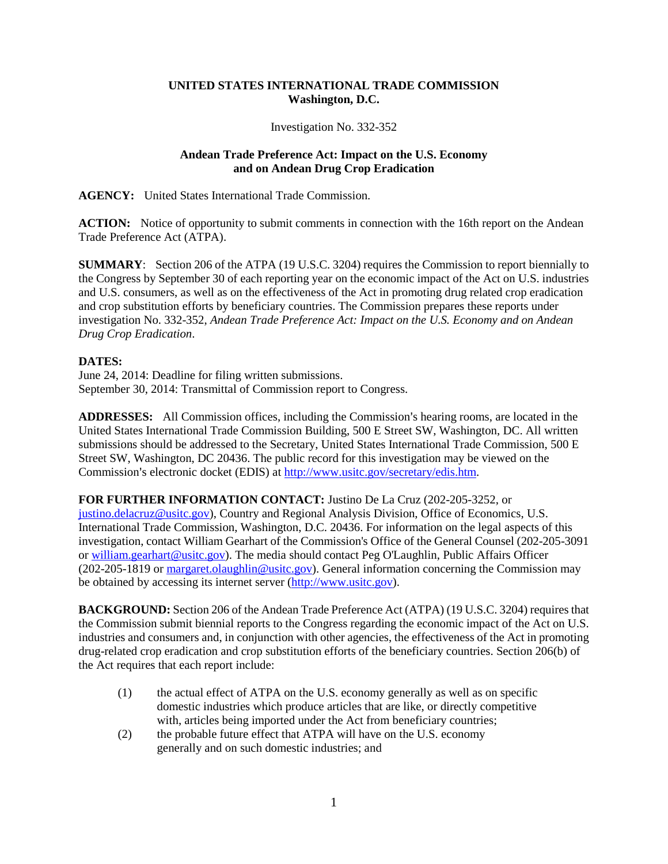## **UNITED STATES INTERNATIONAL TRADE COMMISSION Washington, D.C.**

## Investigation No. 332-352

## **Andean Trade Preference Act: Impact on the U.S. Economy and on Andean Drug Crop Eradication**

**AGENCY:** United States International Trade Commission.

**ACTION:** Notice of opportunity to submit comments in connection with the 16th report on the Andean Trade Preference Act (ATPA).

**SUMMARY**: Section 206 of the ATPA (19 U.S.C. 3204) requires the Commission to report biennially to the Congress by September 30 of each reporting year on the economic impact of the Act on U.S. industries and U.S. consumers, as well as on the effectiveness of the Act in promoting drug related crop eradication and crop substitution efforts by beneficiary countries. The Commission prepares these reports under investigation No. 332-352, *Andean Trade Preference Act: Impact on the U.S. Economy and on Andean Drug Crop Eradication*.

## **DATES:**

June 24, 2014: Deadline for filing written submissions. September 30, 2014: Transmittal of Commission report to Congress.

**ADDRESSES:** All Commission offices, including the Commission's hearing rooms, are located in the United States International Trade Commission Building, 500 E Street SW, Washington, DC. All written submissions should be addressed to the Secretary, United States International Trade Commission, 500 E Street SW, Washington, DC 20436. The public record for this investigation may be viewed on the Commission's electronic docket (EDIS) at [http://www.usitc.gov/secretary/edis.htm.](http://www.usitc.gov/secretary/edis.htm)

**FOR FURTHER INFORMATION CONTACT:** Justino De La Cruz (202-205-3252, or [justino.delacruz@usitc.gov\)](mailto:justino.delacruz@usitc.gov), Country and Regional Analysis Division, Office of Economics, U.S. International Trade Commission, Washington, D.C. 20436. For information on the legal aspects of this investigation, contact William Gearhart of the Commission's Office of the General Counsel (202-205-3091 or [william.gearhart@usitc.gov\)](mailto:william.gearhart@usitc.gov). The media should contact Peg O'Laughlin, Public Affairs Officer (202-205-1819 or [margaret.olaughlin@usitc.gov\)](mailto:margaret.olaughlin@usitc.gov). General information concerning the Commission may be obtained by accessing its internet server [\(http://www.usitc.gov\)](http://www.usitc.gov/).

**BACKGROUND:** Section 206 of the Andean Trade Preference Act (ATPA) (19 U.S.C. 3204) requires that the Commission submit biennial reports to the Congress regarding the economic impact of the Act on U.S. industries and consumers and, in conjunction with other agencies, the effectiveness of the Act in promoting drug-related crop eradication and crop substitution efforts of the beneficiary countries. Section 206(b) of the Act requires that each report include:

- (1) the actual effect of ATPA on the U.S. economy generally as well as on specific domestic industries which produce articles that are like, or directly competitive with, articles being imported under the Act from beneficiary countries;
- (2) the probable future effect that ATPA will have on the U.S. economy generally and on such domestic industries; and